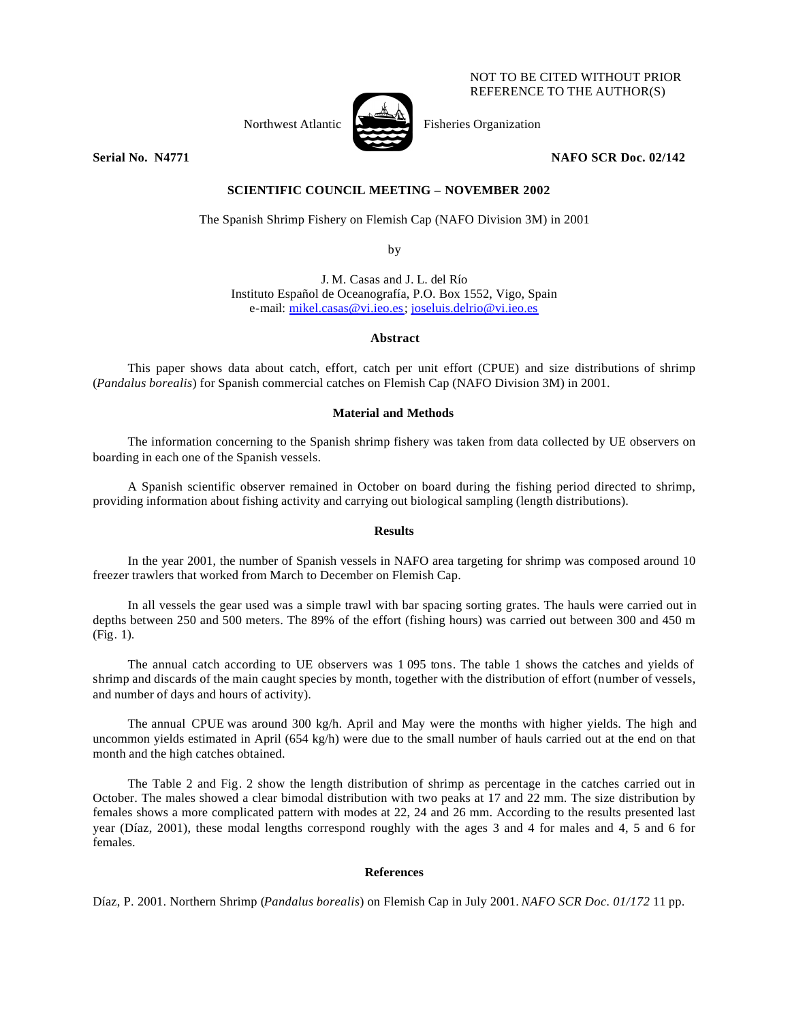#### NOT TO BE CITED WITHOUT PRIOR REFERENCE TO THE AUTHOR(S)

Northwest Atlantic Fisheries Organization



**Serial No. 14771 NAFO SCR Doc. 02/142** 

# **SCIENTIFIC COUNCIL MEETING – NOVEMBER 2002**

The Spanish Shrimp Fishery on Flemish Cap (NAFO Division 3M) in 2001

by

J. M. Casas and J. L. del Río Instituto Español de Oceanografía, P.O. Box 1552, Vigo, Spain e-mail: mikel.casas@vi.ieo.es; joseluis.delrio@vi.ieo.es

**Abstract**

This paper shows data about catch, effort, catch per unit effort (CPUE) and size distributions of shrimp (*Pandalus borealis*) for Spanish commercial catches on Flemish Cap (NAFO Division 3M) in 2001.

### **Material and Methods**

The information concerning to the Spanish shrimp fishery was taken from data collected by UE observers on boarding in each one of the Spanish vessels.

A Spanish scientific observer remained in October on board during the fishing period directed to shrimp, providing information about fishing activity and carrying out biological sampling (length distributions).

#### **Results**

In the year 2001, the number of Spanish vessels in NAFO area targeting for shrimp was composed around 10 freezer trawlers that worked from March to December on Flemish Cap.

In all vessels the gear used was a simple trawl with bar spacing sorting grates. The hauls were carried out in depths between 250 and 500 meters. The 89% of the effort (fishing hours) was carried out between 300 and 450 m (Fig. 1).

The annual catch according to UE observers was 1 095 tons. The table 1 shows the catches and yields of shrimp and discards of the main caught species by month, together with the distribution of effort (number of vessels, and number of days and hours of activity).

The annual CPUE was around 300 kg/h. April and May were the months with higher yields. The high and uncommon yields estimated in April (654 kg/h) were due to the small number of hauls carried out at the end on that month and the high catches obtained.

The Table 2 and Fig. 2 show the length distribution of shrimp as percentage in the catches carried out in October. The males showed a clear bimodal distribution with two peaks at 17 and 22 mm. The size distribution by females shows a more complicated pattern with modes at 22, 24 and 26 mm. According to the results presented last year (Díaz, 2001), these modal lengths correspond roughly with the ages 3 and 4 for males and 4, 5 and 6 for females.

## **References**

Díaz, P. 2001. Northern Shrimp (*Pandalus borealis*) on Flemish Cap in July 2001. *NAFO SCR Doc. 01/172* 11 pp.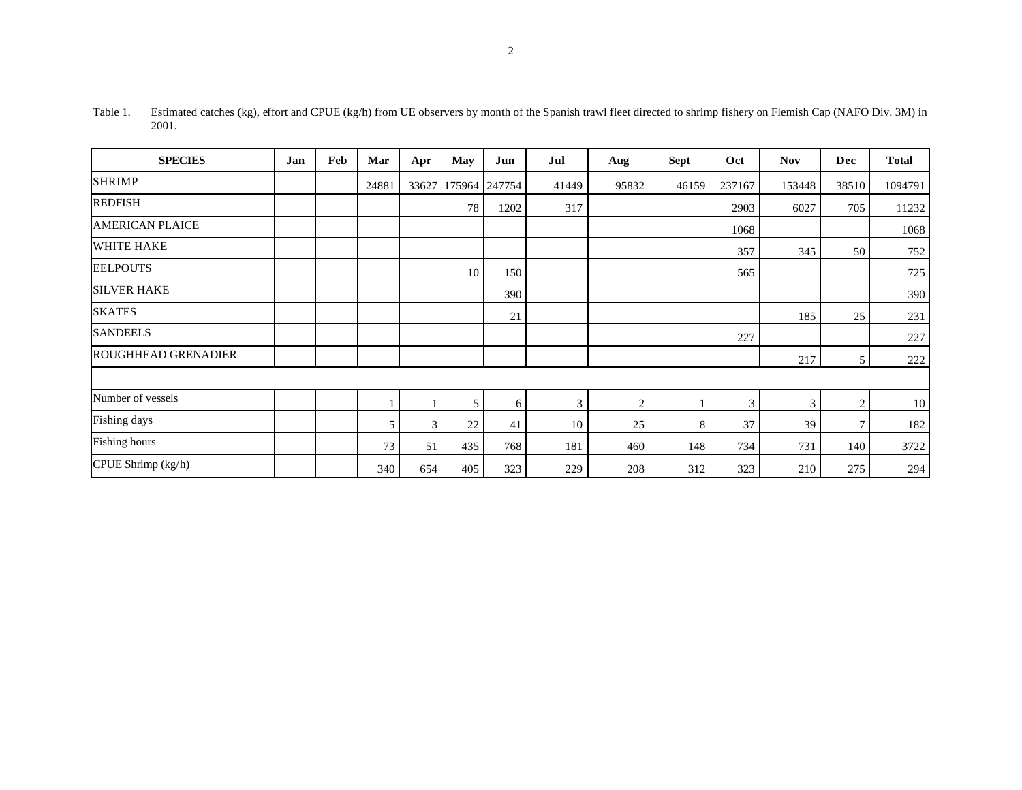| <b>SPECIES</b>             | Jan | Feb | Mar   | Apr   | <b>May</b> | Jun    | Jul   | Aug            | <b>Sept</b> | Oct    | <b>Nov</b> | Dec   | <b>Total</b> |
|----------------------------|-----|-----|-------|-------|------------|--------|-------|----------------|-------------|--------|------------|-------|--------------|
| <b>SHRIMP</b>              |     |     | 24881 | 33627 | 175964     | 247754 | 41449 | 95832          | 46159       | 237167 | 153448     | 38510 | 1094791      |
| <b>REDFISH</b>             |     |     |       |       | 78         | 1202   | 317   |                |             | 2903   | 6027       | 705   | 11232        |
| <b>AMERICAN PLAICE</b>     |     |     |       |       |            |        |       |                |             | 1068   |            |       | 1068         |
| <b>WHITE HAKE</b>          |     |     |       |       |            |        |       |                |             | 357    | 345        | 50    | 752          |
| <b>EELPOUTS</b>            |     |     |       |       | 10         | 150    |       |                |             | 565    |            |       | 725          |
| <b>SILVER HAKE</b>         |     |     |       |       |            | 390    |       |                |             |        |            |       | 390          |
| <b>SKATES</b>              |     |     |       |       |            | 21     |       |                |             |        | 185        | 25    | 231          |
| <b>SANDEELS</b>            |     |     |       |       |            |        |       |                |             | 227    |            |       | 227          |
| <b>ROUGHHEAD GRENADIER</b> |     |     |       |       |            |        |       |                |             |        | 217        | 5     | 222          |
|                            |     |     |       |       |            |        |       |                |             |        |            |       |              |
| Number of vessels          |     |     |       |       | 5          | 6      | 3     | $\overline{2}$ |             | 3      | 3          | 2     | 10           |
| Fishing days               |     |     | 5     | 3     | 22         | 41     | 10    | 25             | 8           | 37     | 39         | 7     | 182          |
| Fishing hours              |     |     | 73    | 51    | 435        | 768    | 181   | 460            | 148         | 734    | 731        | 140   | 3722         |
| CPUE Shrimp (kg/h)         |     |     | 340   | 654   | 405        | 323    | 229   | 208            | 312         | 323    | 210        | 275   | 294          |

Table 1. Estimated catches (kg), effort and CPUE (kg/h) from UE observers by month of the Spanish trawl fleet directed to shrimp fishery on Flemish Cap (NAFO Div. 3M) in 2001.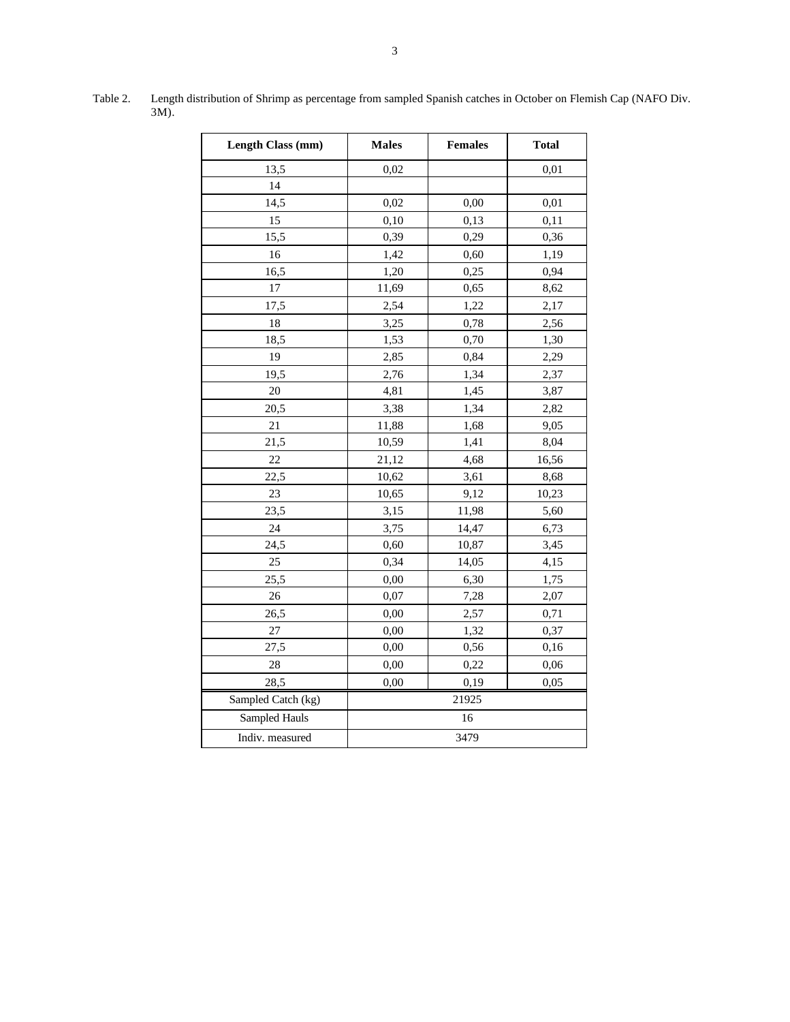| <b>Length Class (mm)</b> | <b>Males</b> | <b>Females</b> | <b>Total</b> |  |  |  |  |
|--------------------------|--------------|----------------|--------------|--|--|--|--|
| 13,5                     | 0,02         |                | 0,01         |  |  |  |  |
| 14                       |              |                |              |  |  |  |  |
| 14,5                     | 0,02         | 0,00           | 0,01         |  |  |  |  |
| 15                       | 0,10         | 0,13           | 0,11         |  |  |  |  |
| 15,5                     | 0,39         | 0,29           | 0,36         |  |  |  |  |
| 16                       | 1,42         | 0,60           | 1,19         |  |  |  |  |
| 16,5                     | 1,20         | 0,25           | 0,94         |  |  |  |  |
| 17                       | 11,69        | 0,65           | 8,62         |  |  |  |  |
| 17,5                     | 2,54         | 1,22           | 2,17         |  |  |  |  |
| 18                       | 3,25         | 0,78           | 2,56         |  |  |  |  |
| 18,5                     | 1,53         | 0,70           | 1,30         |  |  |  |  |
| 19                       | 2,85         | 0,84           | 2,29         |  |  |  |  |
| 19,5                     | 2,76         | 1,34           | 2,37         |  |  |  |  |
| $20\,$                   | 4,81         | 1,45           | 3,87         |  |  |  |  |
| 20,5                     | 3,38         | 1,34           | 2,82         |  |  |  |  |
| 21                       | 11,88        | 1,68           | 9,05         |  |  |  |  |
| 21,5                     | 10,59        | 1,41           | 8,04         |  |  |  |  |
| 22                       | 21,12        | 4,68           | 16,56        |  |  |  |  |
| 22,5                     | 10,62        | 3,61           | 8,68         |  |  |  |  |
| 23                       | 10,65        | 9,12           | 10,23        |  |  |  |  |
| 23,5                     | 3,15         | 11,98          | 5,60         |  |  |  |  |
| 24                       | 3,75         | 14,47          | 6,73         |  |  |  |  |
| 24,5                     | 0,60         | 10,87          | 3,45         |  |  |  |  |
| 25                       | 0,34         | 14,05          | 4,15         |  |  |  |  |
| 25,5                     | 0,00         | 6,30           | 1,75         |  |  |  |  |
| 26                       | 0,07         | 7,28           | 2,07         |  |  |  |  |
| 26,5                     | 0,00         | 2,57           | 0,71         |  |  |  |  |
| 27                       | 0,00         | 1,32           | 0,37         |  |  |  |  |
| 27,5                     | 0,00         | 0,56           | 0,16         |  |  |  |  |
| 28                       | 0,00         | 0,22           | 0,06         |  |  |  |  |
| 28,5                     | 0,00         | 0,19           | 0,05         |  |  |  |  |
| Sampled Catch (kg)       | 21925        |                |              |  |  |  |  |
| Sampled Hauls            | 16           |                |              |  |  |  |  |
| Indiv. measured          | 3479         |                |              |  |  |  |  |

Table 2. Length distribution of Shrimp as percentage from sampled Spanish catches in October on Flemish Cap (NAFO Div. 3M).